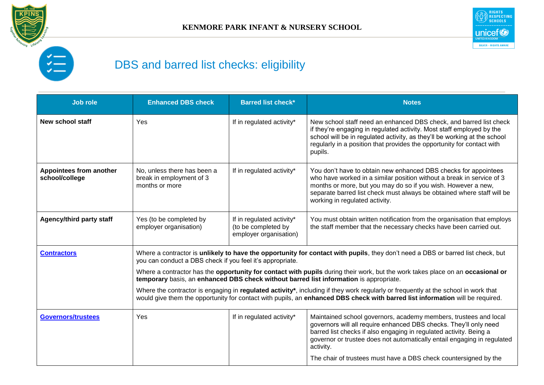



## DBS and barred list checks: eligibility

| <b>Job role</b>                           | <b>Enhanced DBS check</b>                                                                                                                                                                                                                                                                                                                                                                                                                                                                                                                                                                                                                                                                       | <b>Barred list check*</b>                                                  | <b>Notes</b>                                                                                                                                                                                                                                                                                                                                                            |
|-------------------------------------------|-------------------------------------------------------------------------------------------------------------------------------------------------------------------------------------------------------------------------------------------------------------------------------------------------------------------------------------------------------------------------------------------------------------------------------------------------------------------------------------------------------------------------------------------------------------------------------------------------------------------------------------------------------------------------------------------------|----------------------------------------------------------------------------|-------------------------------------------------------------------------------------------------------------------------------------------------------------------------------------------------------------------------------------------------------------------------------------------------------------------------------------------------------------------------|
| <b>New school staff</b>                   | Yes                                                                                                                                                                                                                                                                                                                                                                                                                                                                                                                                                                                                                                                                                             | If in regulated activity*                                                  | New school staff need an enhanced DBS check, and barred list check<br>if they're engaging in regulated activity. Most staff employed by the<br>school will be in regulated activity, as they'll be working at the school<br>regularly in a position that provides the opportunity for contact with<br>pupils.                                                           |
| Appointees from another<br>school/college | No, unless there has been a<br>break in employment of 3<br>months or more                                                                                                                                                                                                                                                                                                                                                                                                                                                                                                                                                                                                                       | If in regulated activity*                                                  | You don't have to obtain new enhanced DBS checks for appointees<br>who have worked in a similar position without a break in service of 3<br>months or more, but you may do so if you wish. However a new,<br>separate barred list check must always be obtained where staff will be<br>working in regulated activity.                                                   |
| <b>Agency/third party staff</b>           | Yes (to be completed by<br>employer organisation)                                                                                                                                                                                                                                                                                                                                                                                                                                                                                                                                                                                                                                               | If in regulated activity*<br>(to be completed by<br>employer organisation) | You must obtain written notification from the organisation that employs<br>the staff member that the necessary checks have been carried out.                                                                                                                                                                                                                            |
| <b>Contractors</b>                        | Where a contractor is unlikely to have the opportunity for contact with pupils, they don't need a DBS or barred list check, but<br>you can conduct a DBS check if you feel it's appropriate.<br>Where a contractor has the opportunity for contact with pupils during their work, but the work takes place on an occasional or<br>temporary basis, an enhanced DBS check without barred list information is appropriate.<br>Where the contractor is engaging in regulated activity*, including if they work regularly or frequently at the school in work that<br>would give them the opportunity for contact with pupils, an enhanced DBS check with barred list information will be required. |                                                                            |                                                                                                                                                                                                                                                                                                                                                                         |
| <b>Governors/trustees</b>                 | Yes                                                                                                                                                                                                                                                                                                                                                                                                                                                                                                                                                                                                                                                                                             | If in regulated activity*                                                  | Maintained school governors, academy members, trustees and local<br>governors will all require enhanced DBS checks. They'll only need<br>barred list checks if also engaging in regulated activity. Being a<br>governor or trustee does not automatically entail engaging in regulated<br>activity.<br>The chair of trustees must have a DBS check countersigned by the |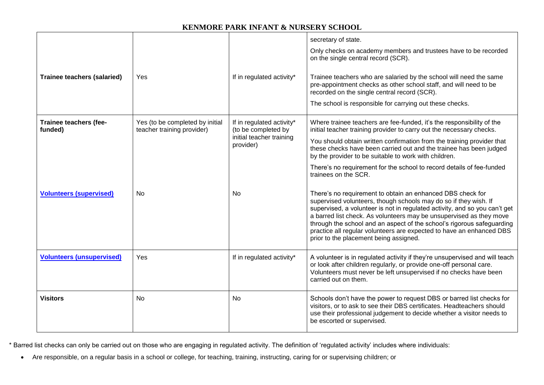## **KENMORE PARK INFANT & NURSERY SCHOOL**

|                                    |                                                               |                                                                                           | secretary of state.<br>Only checks on academy members and trustees have to be recorded<br>on the single central record (SCR).                                                                                                                                                                                                                                                                                                                                                   |
|------------------------------------|---------------------------------------------------------------|-------------------------------------------------------------------------------------------|---------------------------------------------------------------------------------------------------------------------------------------------------------------------------------------------------------------------------------------------------------------------------------------------------------------------------------------------------------------------------------------------------------------------------------------------------------------------------------|
| <b>Trainee teachers (salaried)</b> | <b>Yes</b>                                                    | If in regulated activity*                                                                 | Trainee teachers who are salaried by the school will need the same<br>pre-appointment checks as other school staff, and will need to be<br>recorded on the single central record (SCR).<br>The school is responsible for carrying out these checks.                                                                                                                                                                                                                             |
| Trainee teachers (fee-<br>funded)  | Yes (to be completed by initial<br>teacher training provider) | If in regulated activity*<br>(to be completed by<br>initial teacher training<br>provider) | Where trainee teachers are fee-funded, it's the responsibility of the<br>initial teacher training provider to carry out the necessary checks.<br>You should obtain written confirmation from the training provider that<br>these checks have been carried out and the trainee has been judged<br>by the provider to be suitable to work with children.<br>There's no requirement for the school to record details of fee-funded<br>trainees on the SCR.                         |
| <b>Volunteers (supervised)</b>     | No.                                                           | <b>No</b>                                                                                 | There's no requirement to obtain an enhanced DBS check for<br>supervised volunteers, though schools may do so if they wish. If<br>supervised, a volunteer is not in regulated activity, and so you can't get<br>a barred list check. As volunteers may be unsupervised as they move<br>through the school and an aspect of the school's rigorous safeguarding<br>practice all regular volunteers are expected to have an enhanced DBS<br>prior to the placement being assigned. |
| <b>Volunteers (unsupervised)</b>   | Yes                                                           | If in regulated activity*                                                                 | A volunteer is in regulated activity if they're unsupervised and will teach<br>or look after children regularly, or provide one-off personal care.<br>Volunteers must never be left unsupervised if no checks have been<br>carried out on them.                                                                                                                                                                                                                                 |
| <b>Visitors</b>                    | No                                                            | No                                                                                        | Schools don't have the power to request DBS or barred list checks for<br>visitors, or to ask to see their DBS certificates. Headteachers should<br>use their professional judgement to decide whether a visitor needs to<br>be escorted or supervised.                                                                                                                                                                                                                          |

\* Barred list checks can only be carried out on those who are engaging in regulated activity. The definition of 'regulated activity' includes where individuals:

Are responsible, on a regular basis in a school or college, for teaching, training, instructing, caring for or supervising children; or